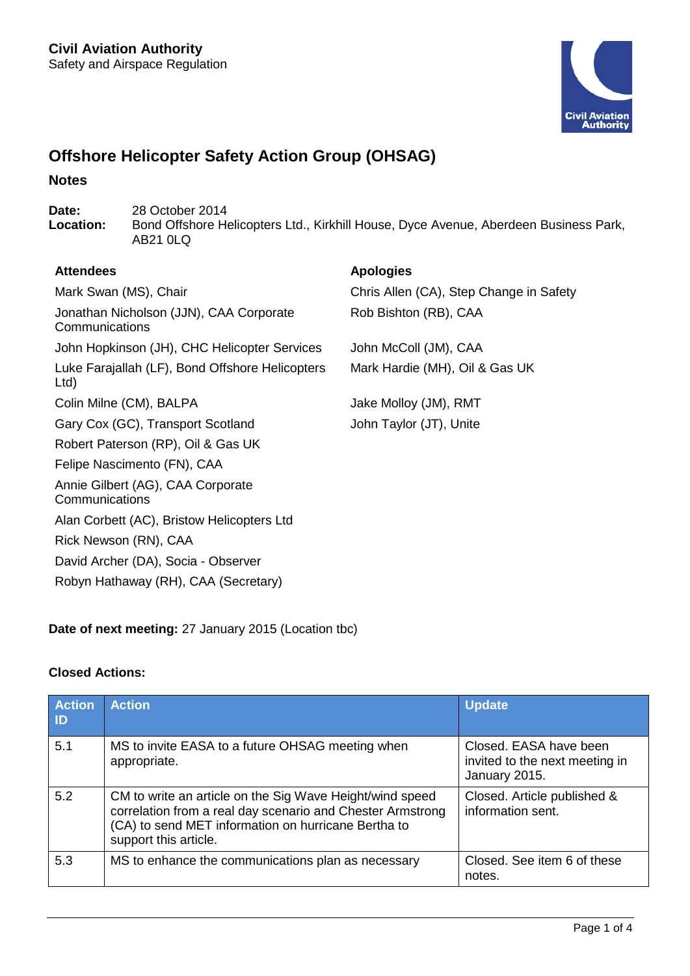

# **Offshore Helicopter Safety Action Group (OHSAG)**

## **Notes**

Date: 28 October 2014<br> **Location:** Bond Offshore He **Location:** Bond Offshore Helicopters Ltd., Kirkhill House, Dyce Avenue, Aberdeen Business Park, AB21 0LQ

# **Attendees Apologies**

**Communications** 

Mark Swan (MS), Chair Chris Allen (CA), Step Change in Safety Rob Bishton (RB), CAA

John Hopkinson (JH), CHC Helicopter Services John McColl (JM), CAA Mark Hardie (MH), Oil & Gas UK

Luke Farajallah (LF), Bond Offshore Helicopters Ltd) Colin Milne (CM), BALPA Jake Molloy (JM), RMT Gary Cox (GC), Transport Scotland John Taylor (JT), Unite Robert Paterson (RP), Oil & Gas UK Felipe Nascimento (FN), CAA Annie Gilbert (AG), CAA Corporate **Communications** Alan Corbett (AC), Bristow Helicopters Ltd Rick Newson (RN), CAA David Archer (DA), Socia - Observer Robyn Hathaway (RH), CAA (Secretary)

Jonathan Nicholson (JJN), CAA Corporate

**Date of next meeting:** 27 January 2015 (Location tbc)

# **Closed Actions:**

| <b>Action</b><br>$\blacksquare$ | <b>Action</b>                                                                                                                                                                                          | <b>Update</b>                                                             |
|---------------------------------|--------------------------------------------------------------------------------------------------------------------------------------------------------------------------------------------------------|---------------------------------------------------------------------------|
| 5.1                             | MS to invite EASA to a future OHSAG meeting when<br>appropriate.                                                                                                                                       | Closed. EASA have been<br>invited to the next meeting in<br>January 2015. |
| 5.2                             | CM to write an article on the Sig Wave Height/wind speed<br>correlation from a real day scenario and Chester Armstrong<br>(CA) to send MET information on hurricane Bertha to<br>support this article. | Closed. Article published &<br>information sent.                          |
| 5.3                             | MS to enhance the communications plan as necessary                                                                                                                                                     | Closed. See item 6 of these<br>notes.                                     |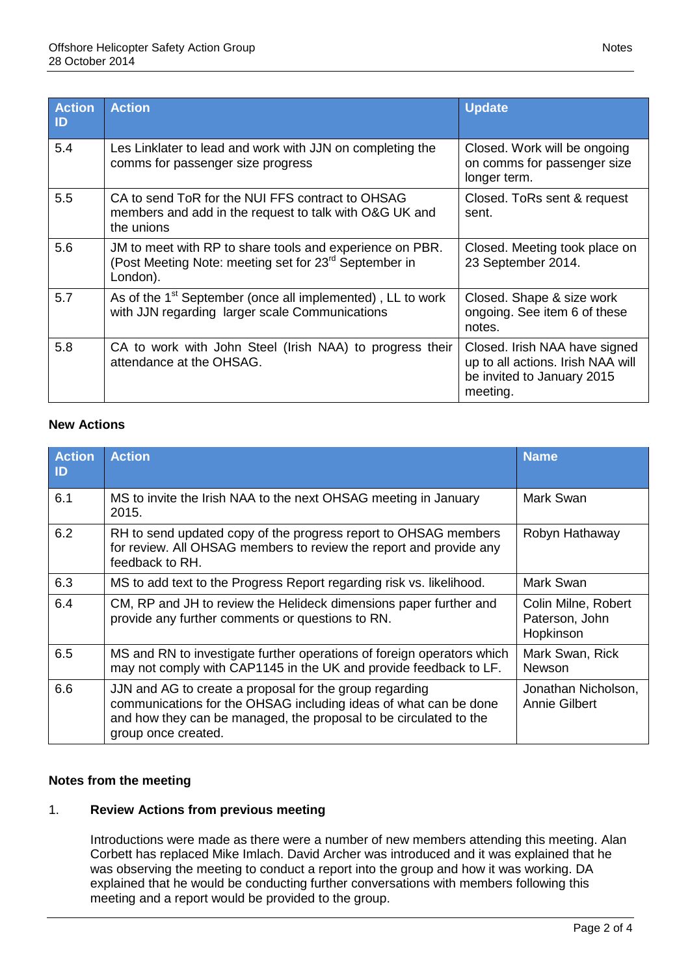| <b>Action</b><br>$\mathsf{ID}$ | <b>Action</b>                                                                                                                             | <b>Update</b>                                                                                                |  |
|--------------------------------|-------------------------------------------------------------------------------------------------------------------------------------------|--------------------------------------------------------------------------------------------------------------|--|
| 5.4                            | Les Linklater to lead and work with JJN on completing the<br>comms for passenger size progress                                            | Closed. Work will be ongoing<br>on comms for passenger size<br>longer term.                                  |  |
| 5.5                            | CA to send ToR for the NUI FFS contract to OHSAG<br>members and add in the request to talk with O&G UK and<br>the unions                  | Closed. ToRs sent & request<br>sent.                                                                         |  |
| 5.6                            | JM to meet with RP to share tools and experience on PBR.<br>(Post Meeting Note: meeting set for 23 <sup>rd</sup> September in<br>London). | Closed. Meeting took place on<br>23 September 2014.                                                          |  |
| 5.7                            | As of the 1 <sup>st</sup> September (once all implemented), LL to work<br>with JJN regarding larger scale Communications                  | Closed. Shape & size work<br>ongoing. See item 6 of these<br>notes.                                          |  |
| 5.8                            | CA to work with John Steel (Irish NAA) to progress their<br>attendance at the OHSAG.                                                      | Closed. Irish NAA have signed<br>up to all actions. Irish NAA will<br>be invited to January 2015<br>meeting. |  |

# **New Actions**

| <b>Action</b><br>ID | <b>Action</b>                                                                                                                                                                                                           | <b>Name</b>                                        |
|---------------------|-------------------------------------------------------------------------------------------------------------------------------------------------------------------------------------------------------------------------|----------------------------------------------------|
| 6.1                 | MS to invite the Irish NAA to the next OHSAG meeting in January<br>2015.                                                                                                                                                | Mark Swan                                          |
| 6.2                 | RH to send updated copy of the progress report to OHSAG members<br>for review. All OHSAG members to review the report and provide any<br>feedback to RH.                                                                | Robyn Hathaway                                     |
| 6.3                 | MS to add text to the Progress Report regarding risk vs. likelihood.                                                                                                                                                    | Mark Swan                                          |
| 6.4                 | CM, RP and JH to review the Helideck dimensions paper further and<br>provide any further comments or questions to RN.                                                                                                   | Colin Milne, Robert<br>Paterson, John<br>Hopkinson |
| 6.5                 | MS and RN to investigate further operations of foreign operators which<br>may not comply with CAP1145 in the UK and provide feedback to LF.                                                                             | Mark Swan, Rick<br><b>Newson</b>                   |
| 6.6                 | JJN and AG to create a proposal for the group regarding<br>communications for the OHSAG including ideas of what can be done<br>and how they can be managed, the proposal to be circulated to the<br>group once created. | Jonathan Nicholson,<br>Annie Gilbert               |

# **Notes from the meeting**

# 1. **Review Actions from previous meeting**

Introductions were made as there were a number of new members attending this meeting. Alan Corbett has replaced Mike Imlach. David Archer was introduced and it was explained that he was observing the meeting to conduct a report into the group and how it was working. DA explained that he would be conducting further conversations with members following this meeting and a report would be provided to the group.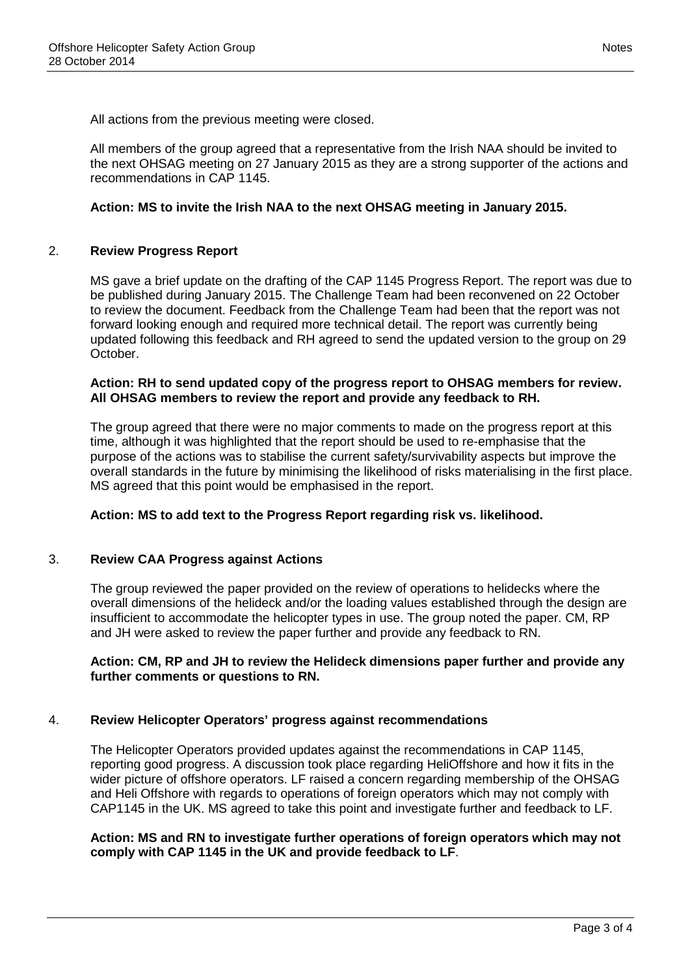All actions from the previous meeting were closed.

All members of the group agreed that a representative from the Irish NAA should be invited to the next OHSAG meeting on 27 January 2015 as they are a strong supporter of the actions and recommendations in CAP 1145.

## **Action: MS to invite the Irish NAA to the next OHSAG meeting in January 2015.**

#### 2. **Review Progress Report**

MS gave a brief update on the drafting of the CAP 1145 Progress Report. The report was due to be published during January 2015. The Challenge Team had been reconvened on 22 October to review the document. Feedback from the Challenge Team had been that the report was not forward looking enough and required more technical detail. The report was currently being updated following this feedback and RH agreed to send the updated version to the group on 29 October.

## **Action: RH to send updated copy of the progress report to OHSAG members for review. All OHSAG members to review the report and provide any feedback to RH.**

The group agreed that there were no major comments to made on the progress report at this time, although it was highlighted that the report should be used to re-emphasise that the purpose of the actions was to stabilise the current safety/survivability aspects but improve the overall standards in the future by minimising the likelihood of risks materialising in the first place. MS agreed that this point would be emphasised in the report.

#### **Action: MS to add text to the Progress Report regarding risk vs. likelihood.**

#### 3. **Review CAA Progress against Actions**

The group reviewed the paper provided on the review of operations to helidecks where the overall dimensions of the helideck and/or the loading values established through the design are insufficient to accommodate the helicopter types in use. The group noted the paper. CM, RP and JH were asked to review the paper further and provide any feedback to RN.

## **Action: CM, RP and JH to review the Helideck dimensions paper further and provide any further comments or questions to RN.**

# 4. **Review Helicopter Operators' progress against recommendations**

The Helicopter Operators provided updates against the recommendations in CAP 1145, reporting good progress. A discussion took place regarding HeliOffshore and how it fits in the wider picture of offshore operators. LF raised a concern regarding membership of the OHSAG and Heli Offshore with regards to operations of foreign operators which may not comply with CAP1145 in the UK. MS agreed to take this point and investigate further and feedback to LF.

## **Action: MS and RN to investigate further operations of foreign operators which may not comply with CAP 1145 in the UK and provide feedback to LF**.